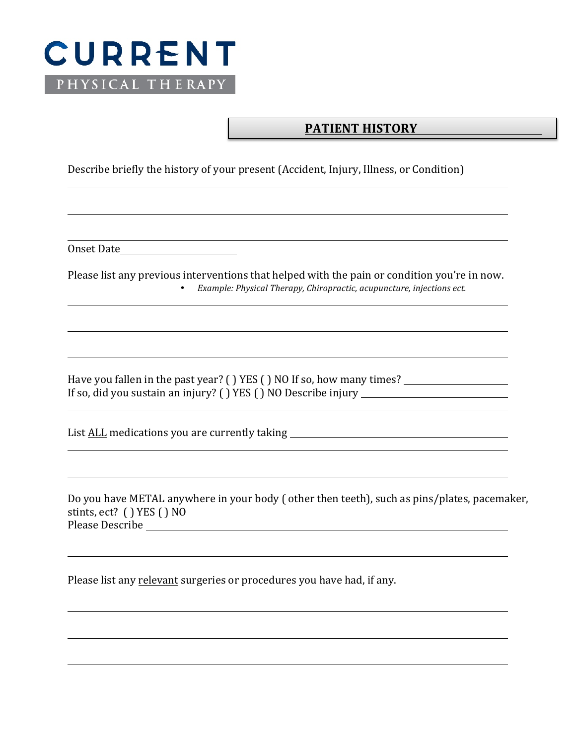

## **PATIENT HISTORY**

Describe briefly the history of your present (Accident, Injury, Illness, or Condition)

Onset Date and the Date of the United States of the United States of the United States of the United States of the United States of the United States of the United States of the United States of the United States of the Un

Please list any previous interventions that helped with the pain or condition you're in now. • *Example: Physical Therapy, Chiropractic, acupuncture, injections ect.* 

Have you fallen in the past year? ( ) YES ( ) NO If so, how many times?  $\frac{1}{\sqrt{1-\frac{1}{n}}}\left( \frac{1}{n} \right)$ If so, did you sustain an injury? ( ) YES ( ) NO Describe injury  $\overline{\phantom{a}}$ 

List ALL medications you are currently taking \_\_\_\_\_\_\_\_\_\_\_\_\_\_\_\_\_\_\_\_\_\_\_\_\_\_\_\_\_\_\_\_\_\_

Do you have METAL anywhere in your body ( other then teeth), such as pins/plates, pacemaker, stints, ect? ( ) YES ( ) NO Please Describe 

Please list any relevant surgeries or procedures you have had, if any.